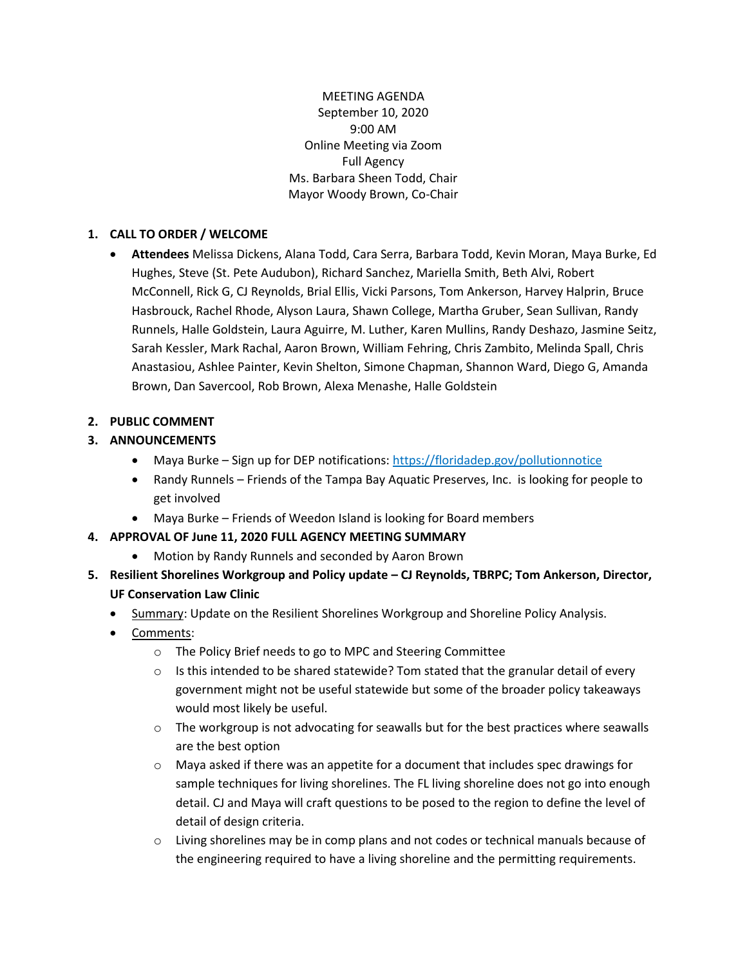MEETING AGENDA September 10, 2020 9:00 AM Online Meeting via Zoom Full Agency Ms. Barbara Sheen Todd, Chair Mayor Woody Brown, Co-Chair

## **1. CALL TO ORDER / WELCOME**

• **Attendees** Melissa Dickens, Alana Todd, Cara Serra, Barbara Todd, Kevin Moran, Maya Burke, Ed Hughes, Steve (St. Pete Audubon), Richard Sanchez, Mariella Smith, Beth Alvi, Robert McConnell, Rick G, CJ Reynolds, Brial Ellis, Vicki Parsons, Tom Ankerson, Harvey Halprin, Bruce Hasbrouck, Rachel Rhode, Alyson Laura, Shawn College, Martha Gruber, Sean Sullivan, Randy Runnels, Halle Goldstein, Laura Aguirre, M. Luther, Karen Mullins, Randy Deshazo, Jasmine Seitz, Sarah Kessler, Mark Rachal, Aaron Brown, William Fehring, Chris Zambito, Melinda Spall, Chris Anastasiou, Ashlee Painter, Kevin Shelton, Simone Chapman, Shannon Ward, Diego G, Amanda Brown, Dan Savercool, Rob Brown, Alexa Menashe, Halle Goldstein

## **2. PUBLIC COMMENT**

# **3. ANNOUNCEMENTS**

- Maya Burke Sign up for DEP notifications:<https://floridadep.gov/pollutionnotice>
- Randy Runnels Friends of the Tampa Bay Aquatic Preserves, Inc. is looking for people to get involved
- Maya Burke Friends of Weedon Island is looking for Board members
- **4. APPROVAL OF June 11, 2020 FULL AGENCY MEETING SUMMARY** 
	- Motion by Randy Runnels and seconded by Aaron Brown
- **5. Resilient Shorelines Workgroup and Policy update – CJ Reynolds, TBRPC; Tom Ankerson, Director, UF Conservation Law Clinic** 
	- Summary: Update on the Resilient Shorelines Workgroup and Shoreline Policy Analysis.
	- Comments:
		- o The Policy Brief needs to go to MPC and Steering Committee
		- $\circ$  Is this intended to be shared statewide? Tom stated that the granular detail of every government might not be useful statewide but some of the broader policy takeaways would most likely be useful.
		- $\circ$  The workgroup is not advocating for seawalls but for the best practices where seawalls are the best option
		- $\circ$  Maya asked if there was an appetite for a document that includes spec drawings for sample techniques for living shorelines. The FL living shoreline does not go into enough detail. CJ and Maya will craft questions to be posed to the region to define the level of detail of design criteria.
		- $\circ$  Living shorelines may be in comp plans and not codes or technical manuals because of the engineering required to have a living shoreline and the permitting requirements.